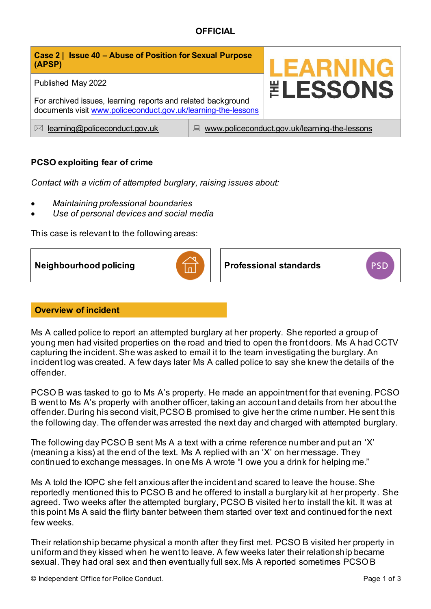# **OFFICIAL**

| Case 2   Issue 40 - Abuse of Position for Sexual Purpose<br>(APSP)                                                            |                                                    | <b>LEARNING</b>        |
|-------------------------------------------------------------------------------------------------------------------------------|----------------------------------------------------|------------------------|
| Published May 2022                                                                                                            |                                                    | <b><i>ELESSONS</i></b> |
| For archived issues, learning reports and related background<br>documents visit www.policeconduct.gov.uk/learning-the-lessons |                                                    |                        |
| learning@policeconduct.gov.uk<br>$\bowtie$                                                                                    | www.policeconduct.gov.uk/learning-the-lessons<br>鳳 |                        |

# **PCSO exploiting fear of crime**

*Contact with a victim of attempted burglary, raising issues about:* 

- *Maintaining professional boundaries*
- *Use of personal devices and social media*

This case is relevant to the following areas:

**Neighbourhood policing <b>Professional standards PSD** 

## **Overview of incident**

Ms A called police to report an attempted burglary at her property. She reported a group of young men had visited properties on the road and tried to open the front doors. Ms A had CCTV capturing the incident. She was asked to email it to the team investigating the burglary. An incident log was created. A few days later Ms A called police to say she knew the details of the offender.

PCSO B was tasked to go to Ms A's property. He made an appointment for that evening. PCSO B went to Ms A's property with another officer, taking an account and details from her about the offender. During his second visit, PCSO B promised to give her the crime number. He sent this the following day. The offender was arrested the next day and charged with attempted burglary.

The following day PCSO B sent Ms A a text with a crime reference number and put an 'X' (meaning a kiss) at the end of the text. Ms A replied with an 'X' on her message. They continued to exchange messages. In one Ms A wrote "I owe you a drink for helping me."

Ms A told the IOPC she felt anxious after the incident and scared to leave the house. She reportedly mentioned this to PCSO B and he offered to install a burglary kit at her property. She agreed. Two weeks after the attempted burglary, PCSO B visited her to install the kit. It was at this point Ms A said the flirty banter between them started over text and continued for the next few weeks.

Their relationship became physical a month after they first met. PCSO B visited her property in uniform and they kissed when he went to leave. A few weeks later their relationship became sexual. They had oral sex and then eventually full sex. Ms A reported sometimes PCSO B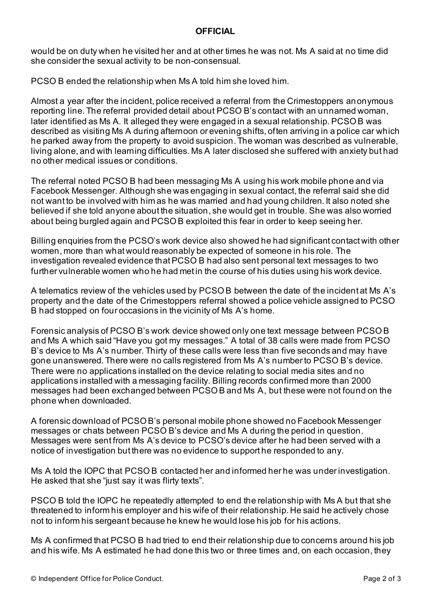## **OFFICIAL**

would be on duty when he visited her and at other times he was not. Ms A said at no time did she consider the sexual activity to be non-consensual.

PCSO B ended the relationship when Ms A told him she loved him.

Almost a year after the incident, police received a referral from the Crimestoppers anonymous reporting line. The referral provided detail about PCSO B's contact with an unnamed woman, later identified as Ms A. It alleged they were engaged in a sexual relationship. PCSO B was described as visiting Ms A during afternoon or evening shifts, often arriving in a police car which he parked away from the property to avoid suspicion. The woman was described as vulnerable, living alone, and with learning difficulties. Ms A later disclosed she suffered with anxiety but had no other medical issues or conditions.

The referral noted PCSO B had been messaging Ms A using his work mobile phone and via Facebook Messenger. Although she was engaging in sexual contact, the referral said she did not want to be involved with him as he was married and had young children. It also noted she believed if she told anyone about the situation, she would get in trouble. She was also worried about being burgled again and PCSO B exploited this fear in order to keep seeing her.

Billing enquiries from the PCSO's work device also showed he had significant contact with other women, more than what would reasonably be expected of someone in his role. The investigation revealed evidence that PCSO B had also sent personal text messages to two further vulnerable women who he had met in the course of his duties using his work device.

A telematics review of the vehicles used by PCSO B between the date of the incident at Ms A's property and the date of the Crimestoppers referral showed a police vehicle assigned to PCSO B had stopped on four occasions in the vicinity of Ms A's home.

Forensic analysis of PCSO B's work device showed only one text message between PCSO B and Ms A which said "Have you got my messages." A total of 38 calls were made from PCSO B's device to Ms A's number. Thirty of these calls were less than five seconds and may have gone unanswered. There were no calls registered from Ms A's number to PCSO B's device. There were no applications installed on the device relating to social media sites and no applications installed with a messaging facility. Billing records confirmed more than 2000 messages had been exchanged between PCSO B and Ms A, but these were not found on the phone when downloaded.

A forensic download of PCSO B's personal mobile phone showed no Facebook Messenger messages or chats between PCSO B's device and Ms A during the period in question. Messages were sent from Ms A's device to PCSO's device after he had been served with a notice of investigation but there was no evidence to support he responded to any.

Ms A told the IOPC that PCSO B contacted her and informed her he was under investigation. He asked that she "just say it was flirty texts".

PSCO B told the IOPC he repeatedly attempted to end the relationship with Ms A but that she threatened to inform his employer and his wife of their relationship. He said he actively chose not to inform his sergeant because he knew he would lose his job for his actions.

Ms A confirmed that PCSO B had tried to end their relationship due to concerns around his job and his wife. Ms A estimated he had done this two or three times and, on each occasion, they